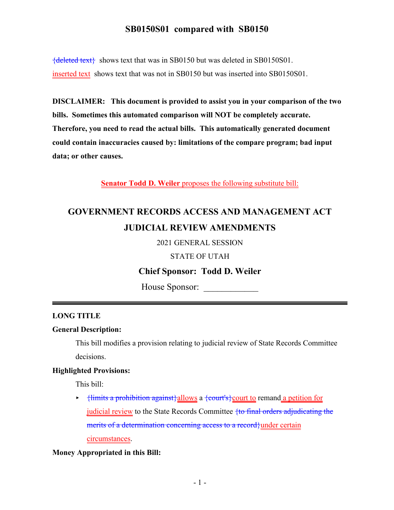# **SB0150S01 compared with SB0150**

{deleted text} shows text that was in SB0150 but was deleted in SB0150S01. inserted text shows text that was not in SB0150 but was inserted into SB0150S01.

**DISCLAIMER: This document is provided to assist you in your comparison of the two bills. Sometimes this automated comparison will NOT be completely accurate. Therefore, you need to read the actual bills. This automatically generated document could contain inaccuracies caused by: limitations of the compare program; bad input data; or other causes.**

**Senator Todd D. Weiler** proposes the following substitute bill:

# **GOVERNMENT RECORDS ACCESS AND MANAGEMENT ACT JUDICIAL REVIEW AMENDMENTS**

2021 GENERAL SESSION

STATE OF UTAH

# **Chief Sponsor: Todd D. Weiler**

House Sponsor:

## **LONG TITLE**

#### **General Description:**

This bill modifies a provision relating to judicial review of State Records Committee decisions.

#### **Highlighted Provisions:**

This bill:

 $\rightarrow$  {limits a prohibition against}allows a {court's} court to remand a petition for judicial review to the State Records Committee {to final orders adjudicating the merits of a determination concerning access to a record}under certain circumstances.

#### **Money Appropriated in this Bill:**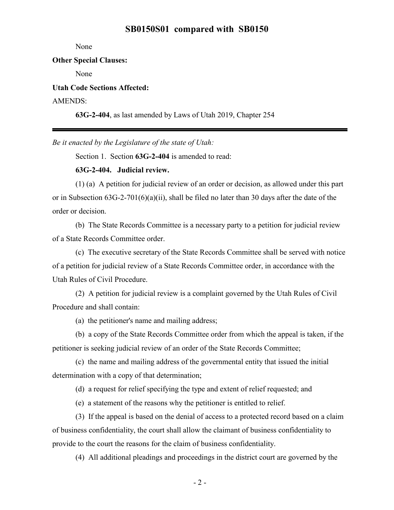### **SB0150S01 compared with SB0150**

None

#### **Other Special Clauses:**

None

**Utah Code Sections Affected:**

#### AMENDS:

**63G-2-404**, as last amended by Laws of Utah 2019, Chapter 254

*Be it enacted by the Legislature of the state of Utah:*

Section 1. Section **63G-2-404** is amended to read:

## **63G-2-404. Judicial review.**

(1) (a) A petition for judicial review of an order or decision, as allowed under this part or in Subsection 63G-2-701(6)(a)(ii), shall be filed no later than 30 days after the date of the order or decision.

(b) The State Records Committee is a necessary party to a petition for judicial review of a State Records Committee order.

(c) The executive secretary of the State Records Committee shall be served with notice of a petition for judicial review of a State Records Committee order, in accordance with the Utah Rules of Civil Procedure.

(2) A petition for judicial review is a complaint governed by the Utah Rules of Civil Procedure and shall contain:

(a) the petitioner's name and mailing address;

(b) a copy of the State Records Committee order from which the appeal is taken, if the petitioner is seeking judicial review of an order of the State Records Committee;

(c) the name and mailing address of the governmental entity that issued the initial determination with a copy of that determination;

(d) a request for relief specifying the type and extent of relief requested; and

(e) a statement of the reasons why the petitioner is entitled to relief.

(3) If the appeal is based on the denial of access to a protected record based on a claim of business confidentiality, the court shall allow the claimant of business confidentiality to provide to the court the reasons for the claim of business confidentiality.

(4) All additional pleadings and proceedings in the district court are governed by the